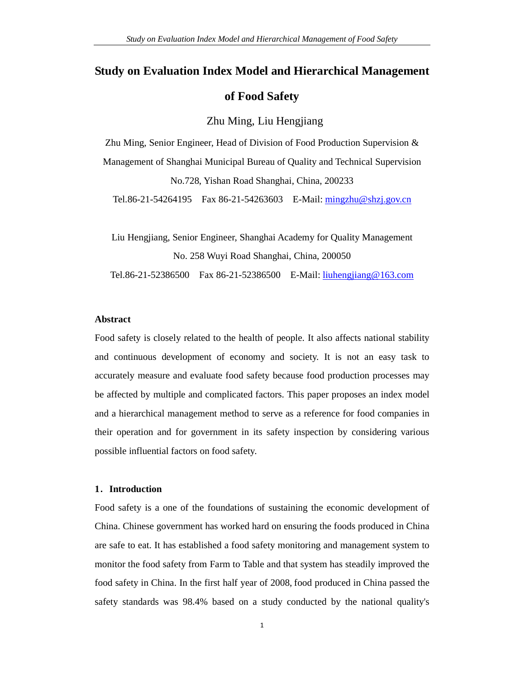# **Study on Evaluation Index Model and Hierarchical Management of Food Safety**

### Zhu Ming, Liu Hengjiang

Zhu Ming, Senior Engineer, Head of Division of Food Production Supervision & Management of Shanghai Municipal Bureau of Quality and Technical Supervision No.728, Yishan Road Shanghai, China, 200233

Tel.86-21-54264195 Fax 86-21-54263603 E-Mail: mingzhu@shzj.gov.cn

Liu Hengjiang, Senior Engineer, Shanghai Academy for Quality Management No. 258 Wuyi Road Shanghai, China, 200050 Tel.86-21-52386500 Fax 86-21-52386500 E-Mail: liuhengjiang@163.com

#### **Abstract**

Food safety is closely related to the health of people. It also affects national stability and continuous development of economy and society. It is not an easy task to accurately measure and evaluate food safety because food production processes may be affected by multiple and complicated factors. This paper proposes an index model and a hierarchical management method to serve as a reference for food companies in their operation and for government in its safety inspection by considering various possible influential factors on food safety.

#### **1**.**Introduction**

Food safety is a one of the foundations of sustaining the economic development of China. Chinese government has worked hard on ensuring the foods produced in China are safe to eat. It has established a food safety monitoring and management system to monitor the food safety from Farm to Table and that system has steadily improved the food safety in China. In the first half year of 2008, food produced in China passed the safety standards was 98.4% based on a study conducted by the national quality's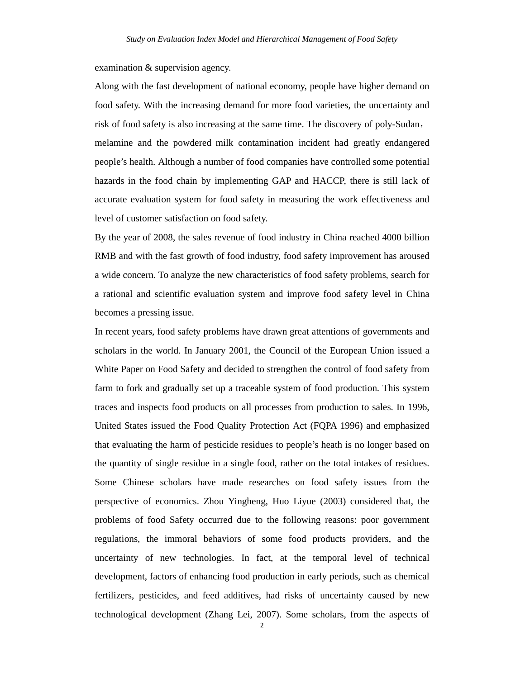examination & supervision agency.

Along with the fast development of national economy, people have higher demand on food safety. With the increasing demand for more food varieties, the uncertainty and risk of food safety is also increasing at the same time. The discovery of poly-Sudan, melamine and the powdered milk contamination incident had greatly endangered people's health. Although a number of food companies have controlled some potential hazards in the food chain by implementing GAP and HACCP, there is still lack of accurate evaluation system for food safety in measuring the work effectiveness and level of customer satisfaction on food safety.

By the year of 2008, the sales revenue of food industry in China reached 4000 billion RMB and with the fast growth of food industry, food safety improvement has aroused a wide concern. To analyze the new characteristics of food safety problems, search for a rational and scientific evaluation system and improve food safety level in China becomes a pressing issue.

In recent years, food safety problems have drawn great attentions of governments and scholars in the world. In January 2001, the Council of the European Union issued a White Paper on Food Safety and decided to strengthen the control of food safety from farm to fork and gradually set up a traceable system of food production. This system traces and inspects food products on all processes from production to sales. In 1996, United States issued the Food Quality Protection Act (FQPA 1996) and emphasized that evaluating the harm of pesticide residues to people's heath is no longer based on the quantity of single residue in a single food, rather on the total intakes of residues. Some Chinese scholars have made researches on food safety issues from the perspective of economics. Zhou Yingheng, Huo Liyue (2003) considered that, the problems of food Safety occurred due to the following reasons: poor government regulations, the immoral behaviors of some food products providers, and the uncertainty of new technologies. In fact, at the temporal level of technical development, factors of enhancing food production in early periods, such as chemical fertilizers, pesticides, and feed additives, had risks of uncertainty caused by new technological development (Zhang Lei, 2007). Some scholars, from the aspects of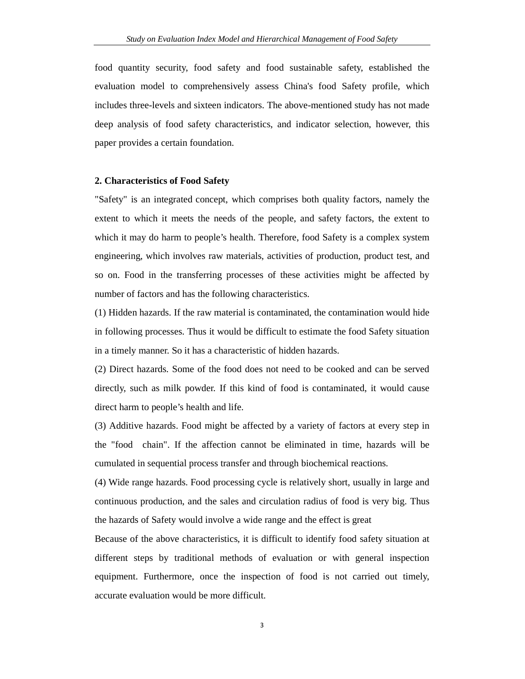food quantity security, food safety and food sustainable safety, established the evaluation model to comprehensively assess China's food Safety profile, which includes three-levels and sixteen indicators. The above-mentioned study has not made deep analysis of food safety characteristics, and indicator selection, however, this paper provides a certain foundation.

#### **2. Characteristics of Food Safety**

"Safety" is an integrated concept, which comprises both quality factors, namely the extent to which it meets the needs of the people, and safety factors, the extent to which it may do harm to people's health. Therefore, food Safety is a complex system engineering, which involves raw materials, activities of production, product test, and so on. Food in the transferring processes of these activities might be affected by number of factors and has the following characteristics.

(1) Hidden hazards. If the raw material is contaminated, the contamination would hide in following processes. Thus it would be difficult to estimate the food Safety situation in a timely manner. So it has a characteristic of hidden hazards.

(2) Direct hazards. Some of the food does not need to be cooked and can be served directly, such as milk powder. If this kind of food is contaminated, it would cause direct harm to people's health and life.

(3) Additive hazards. Food might be affected by a variety of factors at every step in the "food chain". If the affection cannot be eliminated in time, hazards will be cumulated in sequential process transfer and through biochemical reactions.

(4) Wide range hazards. Food processing cycle is relatively short, usually in large and continuous production, and the sales and circulation radius of food is very big. Thus the hazards of Safety would involve a wide range and the effect is great

Because of the above characteristics, it is difficult to identify food safety situation at different steps by traditional methods of evaluation or with general inspection equipment. Furthermore, once the inspection of food is not carried out timely, accurate evaluation would be more difficult.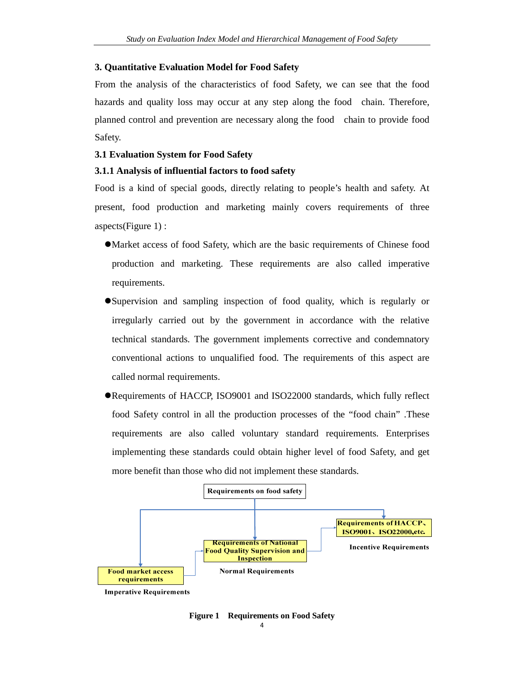#### **3. Quantitative Evaluation Model for Food Safety**

From the analysis of the characteristics of food Safety, we can see that the food hazards and quality loss may occur at any step along the food chain. Therefore, planned control and prevention are necessary along the food chain to provide food Safety.

#### **3.1 Evaluation System for Food Safety**

#### **3.1.1 Analysis of influential factors to food safety**

Food is a kind of special goods, directly relating to people's health and safety. At present, food production and marketing mainly covers requirements of three aspects(Figure 1) :

- Market access of food Safety, which are the basic requirements of Chinese food production and marketing. These requirements are also called imperative requirements.
- Supervision and sampling inspection of food quality, which is regularly or irregularly carried out by the government in accordance with the relative technical standards. The government implements corrective and condemnatory conventional actions to unqualified food. The requirements of this aspect are called normal requirements.
- Requirements of HACCP, ISO9001 and ISO22000 standards, which fully reflect food Safety control in all the production processes of the "food chain" .These requirements are also called voluntary standard requirements. Enterprises implementing these standards could obtain higher level of food Safety, and get more benefit than those who did not implement these standards.



**Imperative Requirements** 

**Figure 1 Requirements on Food Safety**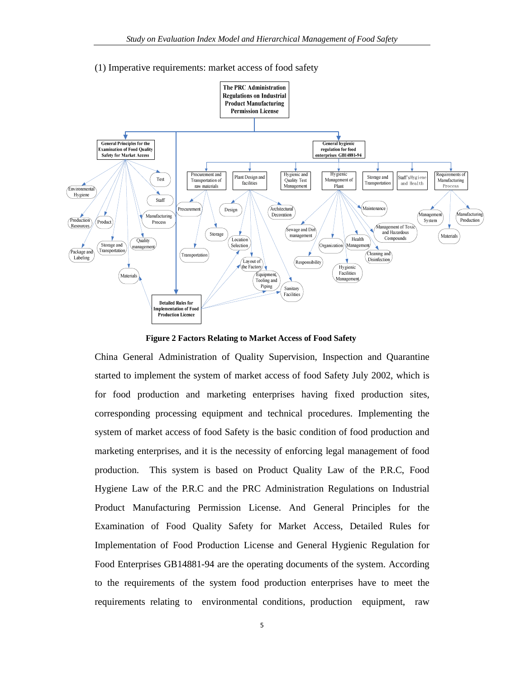#### (1) Imperative requirements: market access of food safety



**Figure 2 Factors Relating to Market Access of Food Safety** 

China General Administration of Quality Supervision, Inspection and Quarantine started to implement the system of market access of food Safety July 2002, which is for food production and marketing enterprises having fixed production sites, corresponding processing equipment and technical procedures. Implementing the system of market access of food Safety is the basic condition of food production and marketing enterprises, and it is the necessity of enforcing legal management of food production. This system is based on Product Quality Law of the P.R.C, Food Hygiene Law of the P.R.C and the PRC Administration Regulations on Industrial Product Manufacturing Permission License. And General Principles for the Examination of Food Quality Safety for Market Access, Detailed Rules for Implementation of Food Production License and General Hygienic Regulation for Food Enterprises GB14881-94 are the operating documents of the system. According to the requirements of the system food production enterprises have to meet the requirements relating to environmental conditions, production equipment, raw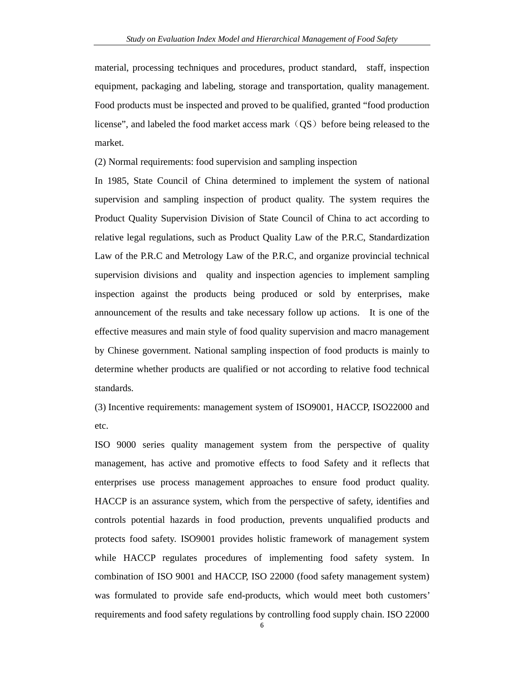material, processing techniques and procedures, product standard, staff, inspection equipment, packaging and labeling, storage and transportation, quality management. Food products must be inspected and proved to be qualified, granted "food production license", and labeled the food market access mark  $(QS)$  before being released to the market.

(2) Normal requirements: food supervision and sampling inspection

In 1985, State Council of China determined to implement the system of national supervision and sampling inspection of product quality. The system requires the Product Quality Supervision Division of State Council of China to act according to relative legal regulations, such as Product Quality Law of the P.R.C, Standardization Law of the P.R.C and Metrology Law of the P.R.C, and organize provincial technical supervision divisions and quality and inspection agencies to implement sampling inspection against the products being produced or sold by enterprises, make announcement of the results and take necessary follow up actions. It is one of the effective measures and main style of food quality supervision and macro management by Chinese government. National sampling inspection of food products is mainly to determine whether products are qualified or not according to relative food technical standards.

(3) Incentive requirements: management system of ISO9001, HACCP, ISO22000 and etc.

ISO 9000 series quality management system from the perspective of quality management, has active and promotive effects to food Safety and it reflects that enterprises use process management approaches to ensure food product quality. HACCP is an assurance system, which from the perspective of safety, identifies and controls potential hazards in food production, prevents unqualified products and protects food safety. ISO9001 provides holistic framework of management system while HACCP regulates procedures of implementing food safety system. In combination of ISO 9001 and HACCP, ISO 22000 (food safety management system) was formulated to provide safe end-products, which would meet both customers' requirements and food safety regulations by controlling food supply chain. ISO 22000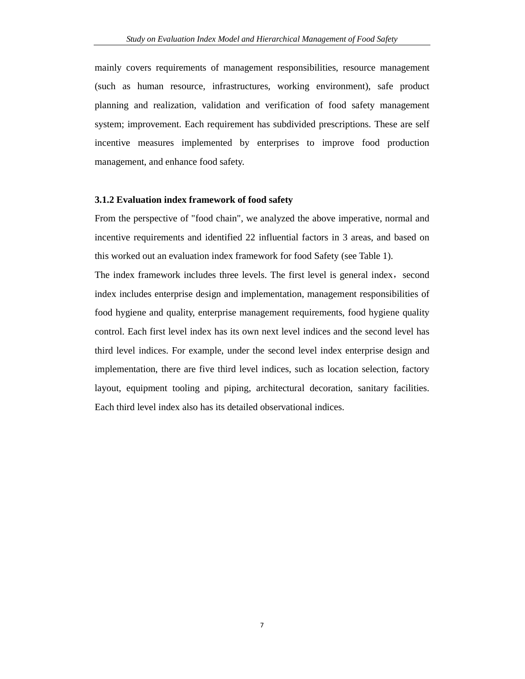mainly covers requirements of management responsibilities, resource management (such as human resource, infrastructures, working environment), safe product planning and realization, validation and verification of food safety management system; improvement. Each requirement has subdivided prescriptions. These are self incentive measures implemented by enterprises to improve food production management, and enhance food safety.

#### **3.1.2 Evaluation index framework of food safety**

From the perspective of "food chain", we analyzed the above imperative, normal and incentive requirements and identified 22 influential factors in 3 areas, and based on this worked out an evaluation index framework for food Safety (see Table 1).

The index framework includes three levels. The first level is general index, second index includes enterprise design and implementation, management responsibilities of food hygiene and quality, enterprise management requirements, food hygiene quality control. Each first level index has its own next level indices and the second level has third level indices. For example, under the second level index enterprise design and implementation, there are five third level indices, such as location selection, factory layout, equipment tooling and piping, architectural decoration, sanitary facilities. Each third level index also has its detailed observational indices.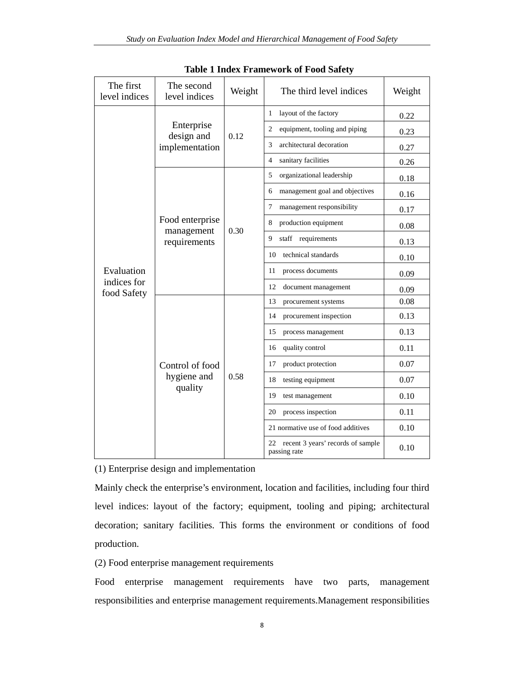| The first<br>level indices | The second<br>level indices                   | Weight | The third level indices                              | Weight |
|----------------------------|-----------------------------------------------|--------|------------------------------------------------------|--------|
|                            | Enterprise<br>design and<br>implementation    | 0.12   | layout of the factory<br>1                           | 0.22   |
|                            |                                               |        | equipment, tooling and piping<br>2                   | 0.23   |
|                            |                                               |        | architectural decoration<br>3                        | 0.27   |
|                            |                                               |        | sanitary facilities<br>4                             | 0.26   |
|                            |                                               | 0.30   | 5<br>organizational leadership                       | 0.18   |
|                            |                                               |        | management goal and objectives<br>6                  | 0.16   |
|                            |                                               |        | management responsibility<br>7                       | 0.17   |
|                            | Food enterprise<br>management<br>requirements |        | production equipment<br>8                            | 0.08   |
|                            |                                               |        | staff requirements<br>9                              | 0.13   |
|                            |                                               |        | technical standards<br>10                            | 0.10   |
| Evaluation                 |                                               |        | 11<br>process documents                              | 0.09   |
| indices for<br>food Safety |                                               |        | 12<br>document management                            | 0.09   |
|                            | Control of food<br>hygiene and<br>quality     | 0.58   | 13<br>procurement systems                            | 0.08   |
|                            |                                               |        | procurement inspection<br>14                         | 0.13   |
|                            |                                               |        | 15<br>process management                             | 0.13   |
|                            |                                               |        | quality control<br>16                                | 0.11   |
|                            |                                               |        | product protection<br>17                             | 0.07   |
|                            |                                               |        | 18<br>testing equipment                              | 0.07   |
|                            |                                               |        | 19<br>test management                                | 0.10   |
|                            |                                               |        | process inspection<br>20                             | 0.11   |
|                            |                                               |        | 21 normative use of food additives                   | 0.10   |
|                            |                                               |        | 22 recent 3 years' records of sample<br>passing rate | 0.10   |

**Table 1 Index Framework of Food Safety** 

(1) Enterprise design and implementation

Mainly check the enterprise's environment, location and facilities, including four third level indices: layout of the factory; equipment, tooling and piping; architectural decoration; sanitary facilities. This forms the environment or conditions of food production.

(2) Food enterprise management requirements

Food enterprise management requirements have two parts, management responsibilities and enterprise management requirements.Management responsibilities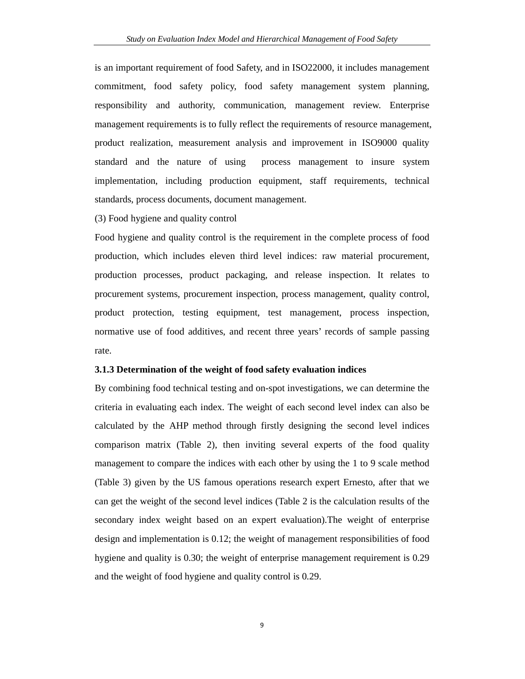is an important requirement of food Safety, and in ISO22000, it includes management commitment, food safety policy, food safety management system planning, responsibility and authority, communication, management review. Enterprise management requirements is to fully reflect the requirements of resource management, product realization, measurement analysis and improvement in ISO9000 quality standard and the nature of using process management to insure system implementation, including production equipment, staff requirements, technical standards, process documents, document management.

#### (3) Food hygiene and quality control

Food hygiene and quality control is the requirement in the complete process of food production, which includes eleven third level indices: raw material procurement, production processes, product packaging, and release inspection. It relates to procurement systems, procurement inspection, process management, quality control, product protection, testing equipment, test management, process inspection, normative use of food additives, and recent three years' records of sample passing rate.

#### **3.1.3 Determination of the weight of food safety evaluation indices**

By combining food technical testing and on-spot investigations, we can determine the criteria in evaluating each index. The weight of each second level index can also be calculated by the AHP method through firstly designing the second level indices comparison matrix (Table 2), then inviting several experts of the food quality management to compare the indices with each other by using the 1 to 9 scale method (Table 3) given by the US famous operations research expert Ernesto, after that we can get the weight of the second level indices (Table 2 is the calculation results of the secondary index weight based on an expert evaluation).The weight of enterprise design and implementation is 0.12; the weight of management responsibilities of food hygiene and quality is 0.30; the weight of enterprise management requirement is 0.29 and the weight of food hygiene and quality control is 0.29.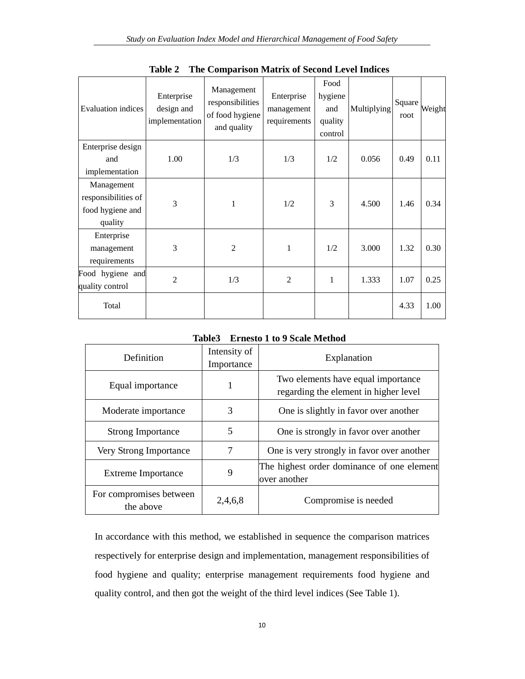| Evaluation indices  | Enterprise<br>design and<br>implementation | Management<br>responsibilities<br>of food hygiene<br>and quality | Enterprise<br>management<br>requirements | Food<br>hygiene<br>and<br>quality<br>control | Multiplying | Square<br>root | Weight |
|---------------------|--------------------------------------------|------------------------------------------------------------------|------------------------------------------|----------------------------------------------|-------------|----------------|--------|
| Enterprise design   |                                            |                                                                  |                                          |                                              |             |                |        |
| and                 | 1.00                                       | 1/3                                                              | 1/3                                      | 1/2                                          | 0.056       | 0.49           | 0.11   |
| implementation      |                                            |                                                                  |                                          |                                              |             |                |        |
| Management          |                                            |                                                                  |                                          |                                              |             |                |        |
| responsibilities of | 3                                          | 1                                                                | 1/2                                      | 3                                            | 4.500       | 1.46           | 0.34   |
| food hygiene and    |                                            |                                                                  |                                          |                                              |             |                |        |
| quality             |                                            |                                                                  |                                          |                                              |             |                |        |
| Enterprise          |                                            |                                                                  |                                          |                                              |             |                |        |
| management          | 3                                          | $\mathfrak{D}$                                                   | 1                                        | 1/2                                          | 3.000       | 1.32           | 0.30   |
| requirements        |                                            |                                                                  |                                          |                                              |             |                |        |
| Food hygiene and    | $\overline{2}$                             | 1/3                                                              | $\overline{2}$                           | $\mathbf{1}$                                 | 1.333       | 1.07           | 0.25   |
| quality control     |                                            |                                                                  |                                          |                                              |             |                |        |
| Total               |                                            |                                                                  |                                          |                                              |             | 4.33           | 1.00   |

**Table 2 The Comparison Matrix of Second Level Indices** 

#### **Table3 Ernesto 1 to 9 Scale Method**

| Definition                                      | Intensity of<br>Importance | Explanation                                                                 |
|-------------------------------------------------|----------------------------|-----------------------------------------------------------------------------|
| Equal importance                                | 1                          | Two elements have equal importance<br>regarding the element in higher level |
| Moderate importance                             | 3                          | One is slightly in favor over another                                       |
| <b>Strong Importance</b>                        | 5                          | One is strongly in favor over another                                       |
| Very Strong Importance                          | 7                          | One is very strongly in favor over another                                  |
| <b>Extreme</b> Importance                       | 9                          | The highest order dominance of one element<br>over another                  |
| For compromises between<br>2,4,6,8<br>the above |                            | Compromise is needed                                                        |

In accordance with this method, we established in sequence the comparison matrices respectively for enterprise design and implementation, management responsibilities of food hygiene and quality; enterprise management requirements food hygiene and quality control, and then got the weight of the third level indices (See Table 1).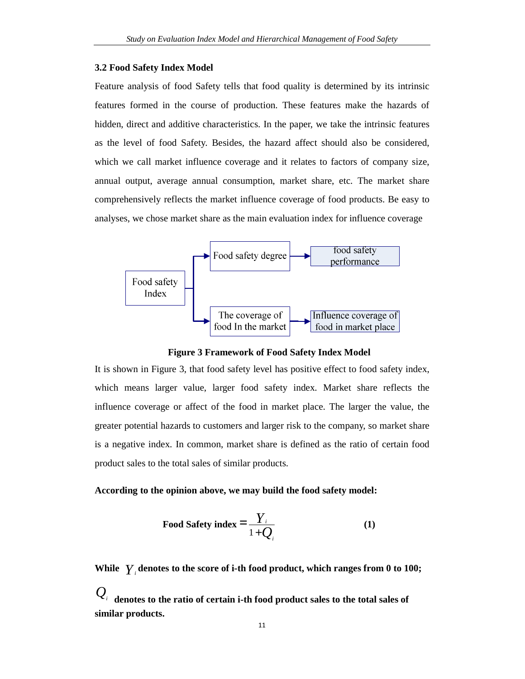#### **3.2 Food Safety Index Model**

Feature analysis of food Safety tells that food quality is determined by its intrinsic features formed in the course of production. These features make the hazards of hidden, direct and additive characteristics. In the paper, we take the intrinsic features as the level of food Safety. Besides, the hazard affect should also be considered, which we call market influence coverage and it relates to factors of company size, annual output, average annual consumption, market share, etc. The market share comprehensively reflects the market influence coverage of food products. Be easy to analyses, we chose market share as the main evaluation index for influence coverage



**Figure 3 Framework of Food Safety Index Model** 

It is shown in Figure 3, that food safety level has positive effect to food safety index, which means larger value, larger food safety index. Market share reflects the influence coverage or affect of the food in market place. The larger the value, the greater potential hazards to customers and larger risk to the company, so market share is a negative index. In common, market share is defined as the ratio of certain food product sales to the total sales of similar products.

### **According to the opinion above, we may build the food safety model:**

Food Safety index 
$$
=\frac{Y_i}{1+Q_i}
$$
 (1)

**While** *Y<sup>i</sup>* **denotes to the score of i-th food product, which ranges from 0 to 100;**   $\mathcal{Q}_i$   $_{\rm denotes}$  to the ratio of certain i-th food product sales to the total sales of **similar products.**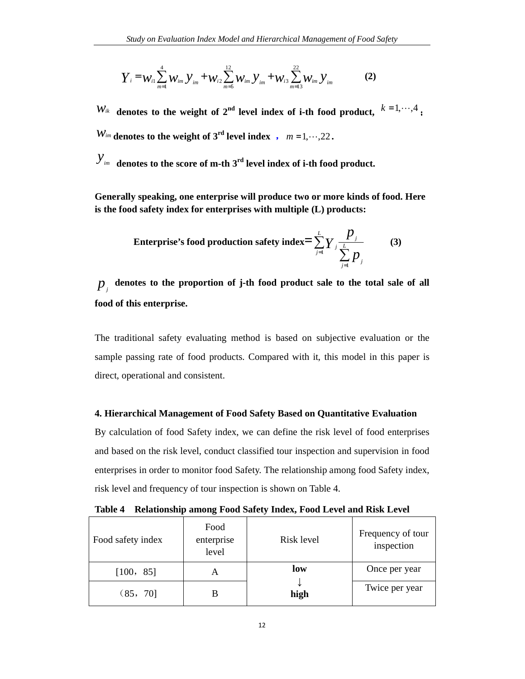$$
Y_{i} = W_{i1} \sum_{m=1}^{4} W_{im} y_{im} + W_{i2} \sum_{m=5}^{12} W_{im} y_{im} + W_{i3} \sum_{m=13}^{22} W_{im} y_{im}
$$
 (2)

 $W_{ik}$  denotes to the weight of 2<sup>nd</sup> level index of i-th food product,  $k=1,\dots,4$ ,  $W_{im}$  denotes to the weight of 3<sup>rd</sup> level index ,  $m = 1, \dots, 22$ .

*yim* **denotes to the score of m-th 3rd level index of i-th food product.** 

**Generally speaking, one enterprise will produce two or more kinds of food. Here is the food safety index for enterprises with multiple (L) products:** 

**Interprise's food production safety index** = 
$$
\sum_{j=1}^{L} Y_j \frac{p_j}{\sum_{j=1}^{L} p_j}
$$
 (3)

 $p_{j}^{\dagger}$  denotes to the proportion of j-th food product sale to the total sale of all **food of this enterprise.** 

The traditional safety evaluating method is based on subjective evaluation or the sample passing rate of food products. Compared with it, this model in this paper is direct, operational and consistent.

### **4. Hierarchical Management of Food Safety Based on Quantitative Evaluation**

By calculation of food Safety index, we can define the risk level of food enterprises and based on the risk level, conduct classified tour inspection and supervision in food enterprises in order to monitor food Safety. The relationship among food Safety index, risk level and frequency of tour inspection is shown on Table 4.

| Food safety index | Food<br>enterprise<br>level | Risk level | Frequency of tour<br>inspection |
|-------------------|-----------------------------|------------|---------------------------------|
| [100, 85]         |                             | low        | Once per year                   |
| (85, 70]          |                             | high       | Twice per year                  |

**Table 4 Relationship among Food Safety Index, Food Level and Risk Level**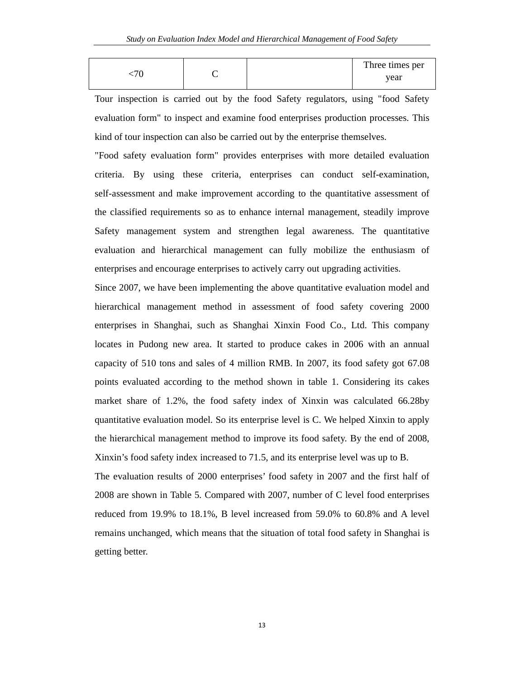|  | Three times per |
|--|-----------------|
|  | vear            |

Tour inspection is carried out by the food Safety regulators, using "food Safety evaluation form" to inspect and examine food enterprises production processes. This kind of tour inspection can also be carried out by the enterprise themselves.

"Food safety evaluation form" provides enterprises with more detailed evaluation criteria. By using these criteria, enterprises can conduct self-examination, self-assessment and make improvement according to the quantitative assessment of the classified requirements so as to enhance internal management, steadily improve Safety management system and strengthen legal awareness. The quantitative evaluation and hierarchical management can fully mobilize the enthusiasm of enterprises and encourage enterprises to actively carry out upgrading activities.

Since 2007, we have been implementing the above quantitative evaluation model and hierarchical management method in assessment of food safety covering 2000 enterprises in Shanghai, such as Shanghai Xinxin Food Co., Ltd. This company locates in Pudong new area. It started to produce cakes in 2006 with an annual capacity of 510 tons and sales of 4 million RMB. In 2007, its food safety got 67.08 points evaluated according to the method shown in table 1. Considering its cakes market share of 1.2%, the food safety index of Xinxin was calculated 66.28by quantitative evaluation model. So its enterprise level is C. We helped Xinxin to apply the hierarchical management method to improve its food safety. By the end of 2008, Xinxin's food safety index increased to 71.5, and its enterprise level was up to B.

The evaluation results of 2000 enterprises' food safety in 2007 and the first half of 2008 are shown in Table 5. Compared with 2007, number of C level food enterprises reduced from 19.9% to 18.1%, B level increased from 59.0% to 60.8% and A level remains unchanged, which means that the situation of total food safety in Shanghai is getting better.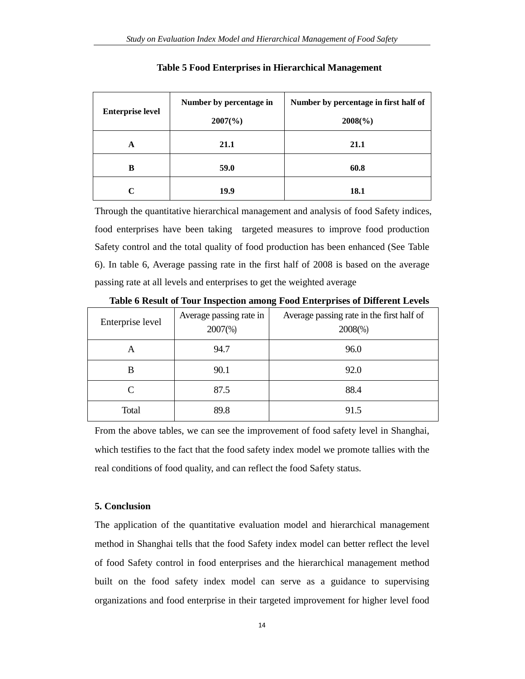| <b>Enterprise level</b> | Number by percentage in<br>$2007\frac{6}{90}$ | Number by percentage in first half of<br>$2008(\%)$ |
|-------------------------|-----------------------------------------------|-----------------------------------------------------|
|                         |                                               |                                                     |
| A                       | 21.1                                          | 21.1                                                |
| B                       | 59.0                                          | 60.8                                                |
| $\mathsf{C}$            | 19.9                                          | 18.1                                                |

#### **Table 5 Food Enterprises in Hierarchical Management**

Through the quantitative hierarchical management and analysis of food Safety indices, food enterprises have been taking targeted measures to improve food production Safety control and the total quality of food production has been enhanced (See Table 6). In table 6, Average passing rate in the first half of 2008 is based on the average passing rate at all levels and enterprises to get the weighted average

| Enterprise level | Average passing rate in<br>$2007\%$ | Average passing rate in the first half of<br>$2008\%$ |
|------------------|-------------------------------------|-------------------------------------------------------|
| А                | 94.7                                | 96.0                                                  |
| B                | 90.1                                | 92.0                                                  |
|                  | 87.5                                | 88.4                                                  |
| Total            | 89.8                                | 91.5                                                  |

**Table 6 Result of Tour Inspection among Food Enterprises of Different Levels** 

From the above tables, we can see the improvement of food safety level in Shanghai, which testifies to the fact that the food safety index model we promote tallies with the real conditions of food quality, and can reflect the food Safety status.

#### **5. Conclusion**

The application of the quantitative evaluation model and hierarchical management method in Shanghai tells that the food Safety index model can better reflect the level of food Safety control in food enterprises and the hierarchical management method built on the food safety index model can serve as a guidance to supervising organizations and food enterprise in their targeted improvement for higher level food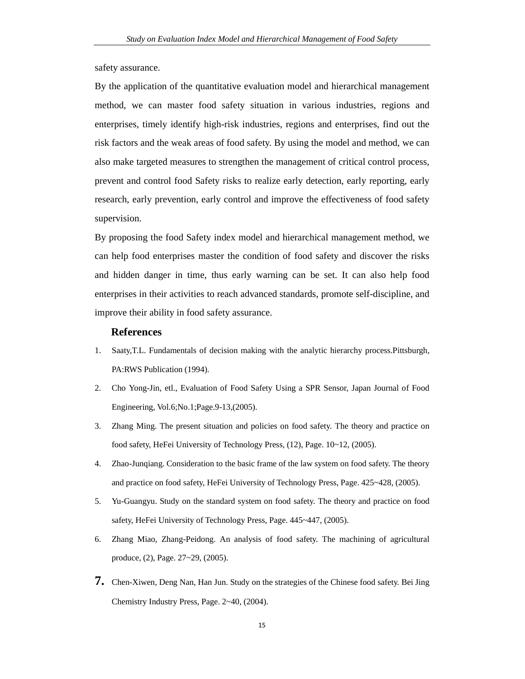safety assurance.

By the application of the quantitative evaluation model and hierarchical management method, we can master food safety situation in various industries, regions and enterprises, timely identify high-risk industries, regions and enterprises, find out the risk factors and the weak areas of food safety. By using the model and method, we can also make targeted measures to strengthen the management of critical control process, prevent and control food Safety risks to realize early detection, early reporting, early research, early prevention, early control and improve the effectiveness of food safety supervision.

By proposing the food Safety index model and hierarchical management method, we can help food enterprises master the condition of food safety and discover the risks and hidden danger in time, thus early warning can be set. It can also help food enterprises in their activities to reach advanced standards, promote self-discipline, and improve their ability in food safety assurance.

#### **References**

- 1. Saaty,T.L. Fundamentals of decision making with the analytic hierarchy process.Pittsburgh, PA:RWS Publication (1994).
- 2. Cho Yong-Jin, etl., Evaluation of Food Safety Using a SPR Sensor, Japan Journal of Food Engineering, Vol.6;No.1;Page.9-13,(2005).
- 3. Zhang Ming. The present situation and policies on food safety. The theory and practice on food safety, HeFei University of Technology Press, (12), Page. 10~12, (2005).
- 4. Zhao-Junqiang. Consideration to the basic frame of the law system on food safety. The theory and practice on food safety, HeFei University of Technology Press, Page. 425~428, (2005).
- 5. Yu-Guangyu. Study on the standard system on food safety. The theory and practice on food safety, HeFei University of Technology Press, Page. 445~447, (2005).
- 6. Zhang Miao, Zhang-Peidong. An analysis of food safety. The machining of agricultural produce, (2), Page. 27~29, (2005).
- **7.** Chen-Xiwen, Deng Nan, Han Jun. Study on the strategies of the Chinese food safety. Bei Jing Chemistry Industry Press, Page. 2~40, (2004).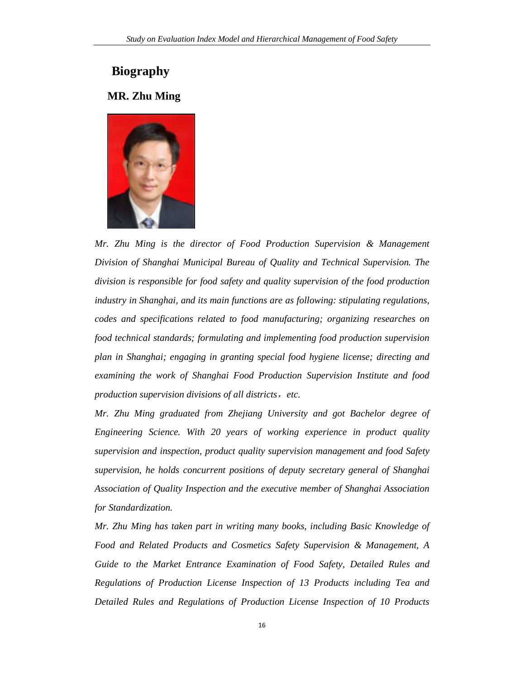# **Biography**

## **MR. Zhu Ming**



*Mr. Zhu Ming is the director of Food Production Supervision & Management Division of Shanghai Municipal Bureau of Quality and Technical Supervision. The division is responsible for food safety and quality supervision of the food production industry in Shanghai, and its main functions are as following: stipulating regulations, codes and specifications related to food manufacturing; organizing researches on food technical standards; formulating and implementing food production supervision plan in Shanghai; engaging in granting special food hygiene license; directing and examining the work of Shanghai Food Production Supervision Institute and food production supervision divisions of all districts*,*etc.* 

*Mr. Zhu Ming graduated from Zhejiang University and got Bachelor degree of Engineering Science. With 20 years of working experience in product quality supervision and inspection, product quality supervision management and food Safety supervision, he holds concurrent positions of deputy secretary general of Shanghai Association of Quality Inspection and the executive member of Shanghai Association for Standardization.* 

*Mr. Zhu Ming has taken part in writing many books, including Basic Knowledge of Food and Related Products and Cosmetics Safety Supervision & Management, A Guide to the Market Entrance Examination of Food Safety, Detailed Rules and Regulations of Production License Inspection of 13 Products including Tea and Detailed Rules and Regulations of Production License Inspection of 10 Products*